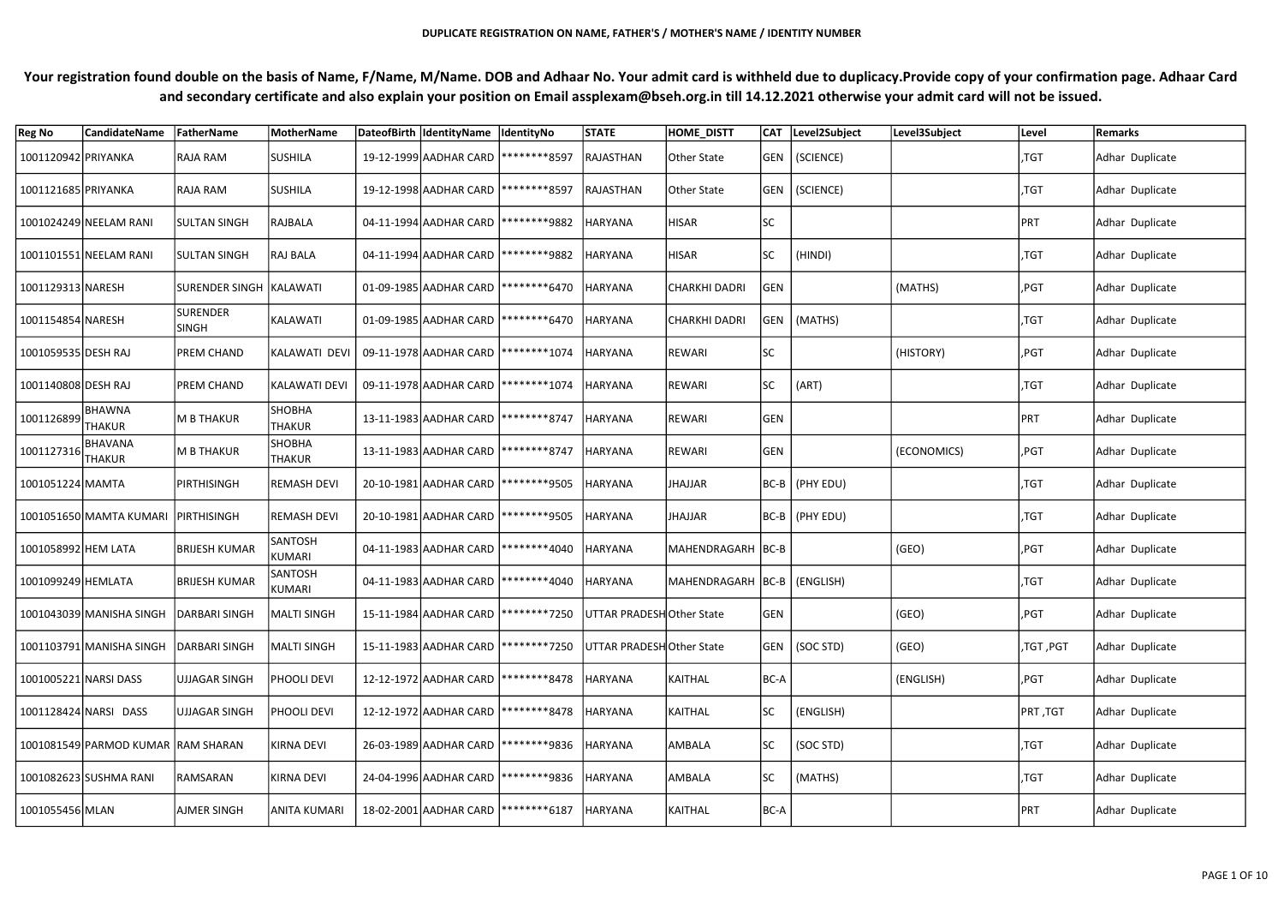| <b>Reg No</b>                      | <b>CandidateName</b>               | FatherName               | MotherName                     | DateofBirth IdentityName IdentityNo    |                                        | <b>STATE</b>             | <b>HOME DISTT</b>              |            | CAT Level2Subject | Level3Subject | Level     | Remarks         |
|------------------------------------|------------------------------------|--------------------------|--------------------------------|----------------------------------------|----------------------------------------|--------------------------|--------------------------------|------------|-------------------|---------------|-----------|-----------------|
| 1001120942 PRIYANKA                |                                    | RAJA RAM                 | <b>SUSHILA</b>                 |                                        | 19-12-1999 AADHAR CARD   ******** 8597 | RAJASTHAN                | Other State                    |            | GEN   (SCIENCE)   |               | ,TGT      | Adhar Duplicate |
| 1001121685 PRIYANKA                |                                    | RAJA RAM                 | <b>SUSHILA</b>                 | 19-12-1998 AADHAR CARD   ******** 8597 |                                        | RAJASTHAN                | Other State                    |            | GEN   (SCIENCE)   |               | ,TGT      | Adhar Duplicate |
|                                    | 1001024249 NEELAM RANI             | <b>SULTAN SINGH</b>      | RAJBALA                        | 04-11-1994 AADHAR CARD   ********9882  |                                        | <b>HARYANA</b>           | <b>HISAR</b>                   | <b>SC</b>  |                   |               | PRT       | Adhar Duplicate |
|                                    | 1001101551 NEELAM RANI             | <b>SULTAN SINGH</b>      | <b>RAJ BALA</b>                | 04-11-1994 AADHAR CARD   ********9882  |                                        | <b>HARYANA</b>           | <b>HISAR</b>                   | <b>SC</b>  | (HINDI)           |               | ,TGT      | Adhar Duplicate |
| 1001129313 NARESH                  |                                    | SURENDER SINGH  KALAWATI |                                |                                        | 01-09-1985 AADHAR CARD   ******** 6470 | <b>HARYANA</b>           | <b>CHARKHI DADRI</b>           | GEN        |                   | (MATHS)       | ,PGT      | Adhar Duplicate |
| 1001154854 NARESH                  |                                    | SURENDER<br><b>SINGH</b> | KALAWATI                       |                                        | 01-09-1985 AADHAR CARD   ******** 6470 | <b>HARYANA</b>           | CHARKHI DADRI                  |            | GEN   (MATHS)     |               | ,TGT      | Adhar Duplicate |
| 1001059535 DESH RAJ                |                                    | <b>PREM CHAND</b>        | KALAWATI DEVI                  | 09-11-1978 AADHAR CARD   ******** 1074 |                                        | <b>HARYANA</b>           | REWARI                         | <b>SC</b>  |                   | (HISTORY)     | ,PGT      | Adhar Duplicate |
| 1001140808 DESH RAJ                |                                    | <b>PREM CHAND</b>        | <b>KALAWATI DEVI</b>           | 09-11-1978 AADHAR CARD   ******** 1074 |                                        | <b>HARYANA</b>           | REWARI                         | lsc:       | (ART)             |               | ,TGT      | Adhar Duplicate |
| 1001126899 BHAWNA                  |                                    | M B THAKUR               | <b>SHOBHA</b><br><b>THAKUR</b> | 13-11-1983 AADHAR CARD   ******** 8747 |                                        | <b>HARYANA</b>           | REWARI                         | GEN        |                   |               | PRT       | Adhar Duplicate |
| $1001127316\Big {\rm THAKUR}\Big $ | BHAVANA                            | M B THAKUR               | <b>SHOBHA</b><br><b>THAKUR</b> | 13-11-1983 AADHAR CARD   ********8747  |                                        | <b>HARYANA</b>           | REWARI                         | <b>GEN</b> |                   | (ECONOMICS)   | ,PGT      | Adhar Duplicate |
| 1001051224 MAMTA                   |                                    | PIRTHISINGH              | <b>REMASH DEVI</b>             |                                        | 20-10-1981 AADHAR CARD   ********9505  | <b>HARYANA</b>           | JHAJJAR                        |            | BC-B (PHY EDU)    |               | $ $ ,TGT  | Adhar Duplicate |
|                                    | 1001051650 MAMTA KUMARI            | PIRTHISINGH              | <b>REMASH DEVI</b>             | 20-10-1981 AADHAR CARD   ********9505  |                                        | <b>HARYANA</b>           | JHAJJAR                        |            | BC-B (PHY EDU)    |               | ,TGT      | Adhar Duplicate |
| 1001058992 HEM LATA                |                                    | BRIJESH KUMAR            | <b>SANTOSH</b><br>KUMARI       |                                        | 04-11-1983 AADHAR CARD   ********4040  | <b>HARYANA</b>           | MAHENDRAGARH BC-B              |            |                   | (GEO)         | ,PGT      | Adhar Duplicate |
| 1001099249 HEMLATA                 |                                    | <b>BRIJESH KUMAR</b>     | SANTOSH<br>KUMARI              |                                        | 04-11-1983 AADHAR CARD   ********4040  | <b>HARYANA</b>           | MAHENDRAGARH  BC-B   (ENGLISH) |            |                   |               | ,TGT      | Adhar Duplicate |
|                                    | 1001043039 MANISHA SINGH           | DARBARI SINGH            | MALTI SINGH                    |                                        | 15-11-1984 AADHAR CARD   ********7250  | UTTAR PRADESHOther State |                                | GEN        |                   | (GEO)         | ,PGT      | Adhar Duplicate |
|                                    | 1001103791 MANISHA SINGH           | DARBARI SINGH            | <b>MALTI SINGH</b>             |                                        | 15-11-1983 AADHAR CARD   ********7250  | UTTAR PRADESHOther State |                                |            | GEN   (SOC STD)   | (GEO)         | ,TGT, PGT | Adhar Duplicate |
| 1001005221 NARSI DASS              |                                    | UJJAGAR SINGH            | PHOOLI DEVI                    |                                        | 12-12-1972 AADHAR CARD   ********8478  | <b>HARYANA</b>           | KAITHAL                        | BC-A       |                   | (ENGLISH)     | ,PGT      | Adhar Duplicate |
|                                    | 1001128424 NARSI DASS              | UJJAGAR SINGH            | PHOOLI DEVI                    |                                        | 12-12-1972 AADHAR CARD   ******** 8478 | <b>HARYANA</b>           | KAITHAL                        |            | (ENGLISH)         |               | TGT, PRT  | Adhar Duplicate |
|                                    | 1001081549 PARMOD KUMAR RAM SHARAN |                          | KIRNA DEVI                     |                                        | 26-03-1989 AADHAR CARD   ********9836  | <b>HARYANA</b>           | AMBALA                         | <b>SC</b>  | (SOC STD)         |               | ,TGT      | Adhar Duplicate |
|                                    | 1001082623 SUSHMA RANI             | RAMSARAN                 | <b>KIRNA DEVI</b>              |                                        | 24-04-1996 AADHAR CARD   ********9836  | <b>HARYANA</b>           | AMBALA                         | <b>SC</b>  | (MATHS)           |               | $ $ ,TGT  | Adhar Duplicate |
| 1001055456 MLAN                    |                                    | AJMER SINGH              | ANITA KUMARI                   |                                        | 18-02-2001 AADHAR CARD   ******** 6187 | HARYANA                  | KAITHAL                        | BC-A       |                   |               | PRT       | Adhar Duplicate |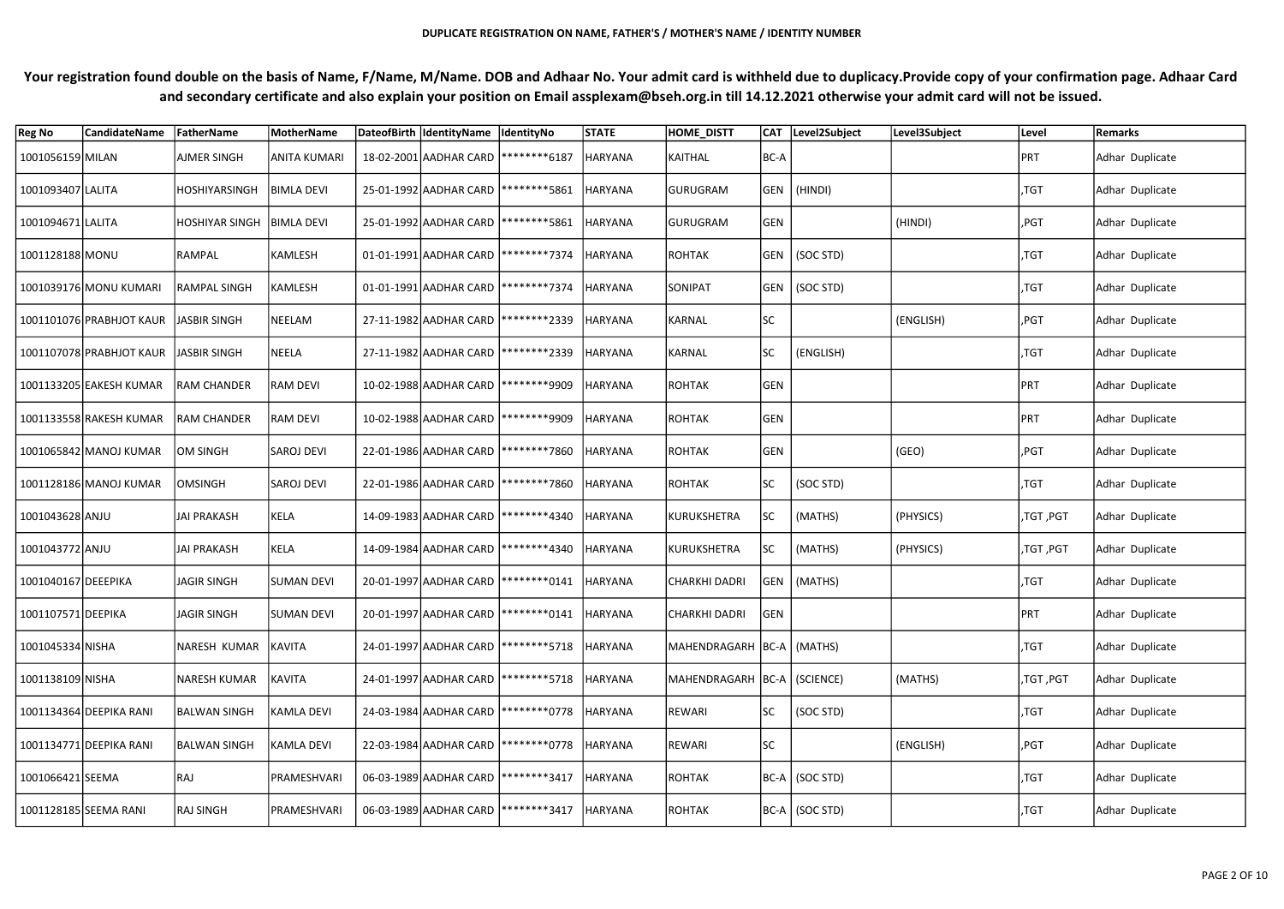| <b>Reg No</b>       | <b>CandidateName</b>                    | FatherName            | MotherName          | DateofBirth  IdentityName  IdentityNo   |                                                   | <b>STATE</b>   | <b>HOME_DISTT</b>             |            | CAT Level2Subject | Level3Subject | Level      | Remarks         |
|---------------------|-----------------------------------------|-----------------------|---------------------|-----------------------------------------|---------------------------------------------------|----------------|-------------------------------|------------|-------------------|---------------|------------|-----------------|
| 1001056159 MILAN    |                                         | <b>AJMER SINGH</b>    | <b>ANITA KUMARI</b> | 18-02-2001 AADHAR CARD   ******** 6187  |                                                   | <b>HARYANA</b> | KAITHAL                       | BC-A       |                   |               | PRT        | Adhar Duplicate |
| 1001093407 LALITA   |                                         | <b>HOSHIYARSINGH</b>  | <b>BIMLA DEVI</b>   | 25-01-1992 AADHAR CARD   ******** 5861  |                                                   | HARYANA        | <b>GURUGRAM</b>               | GEN        | (HINDI)           |               | ,TGT       | Adhar Duplicate |
| 1001094671 LALITA   |                                         | <b>HOSHIYAR SINGH</b> | <b>BIMLA DEVI</b>   | 25-01-1992 AADHAR CARD   ******** 5861  |                                                   | HARYANA        | <b>GURUGRAM</b>               | GEN        |                   | (HINDI)       | ,PGT       | Adhar Duplicate |
| 1001128188 MONU     |                                         | RAMPAL                | KAMLESH             | 01-01-1991 AADHAR CARD   ********7374   |                                                   | <b>HARYANA</b> | ROHTAK                        |            | GEN   (SOC STD)   |               | ,TGT       | Adhar Duplicate |
|                     | 1001039176 MONU KUMARI                  | <b>RAMPAL SINGH</b>   | KAMLESH             |                                         | 01-01-1991 AADHAR CARD   ********7374             | HARYANA        | SONIPAT                       |            | GEN   (SOC STD)   |               | ,TGT       | Adhar Duplicate |
|                     | 1001101076 PRABHJOT KAUR   JASBIR SINGH |                       | NEELAM              |                                         | 27-11-1982 AADHAR CARD   ********* 2339           | HARYANA        | KARNAL                        | <b>SC</b>  |                   | (ENGLISH)     | $ $ ,PGT   | Adhar Duplicate |
|                     | 1001107078 PRABHJOT KAUR   JASBIR SINGH |                       | NEELA               |                                         | 27-11-1982 AADHAR CARD   ********* 2339           | <b>HARYANA</b> | KARNAL                        | <b>SC</b>  | (ENGLISH)         |               | ,TGT       | Adhar Duplicate |
|                     | 1001133205 EAKESH KUMAR                 | <b>RAM CHANDER</b>    | <b>RAM DEVI</b>     | 10-02-1988 AADHAR CARD   ********9909   |                                                   | <b>HARYANA</b> | ROHTAK                        | GEN        |                   |               | PRT        | Adhar Duplicate |
|                     | 1001133558 RAKESH KUMAR                 | <b>RAM CHANDER</b>    | <b>RAM DEVI</b>     | 10-02-1988 AADHAR CARD   ********9909   |                                                   | <b>HARYANA</b> | ROHTAK                        | GEN        |                   |               | <b>PRT</b> | Adhar Duplicate |
|                     | 1001065842 MANOJ KUMAR                  | <b>OM SINGH</b>       | <b>SAROJ DEVI</b>   | 22-01-1986 AADHAR CARD   ********7860   |                                                   | <b>HARYANA</b> | ROHTAK                        | GEN        |                   | (GEO)         | ,PGT       | Adhar Duplicate |
|                     | 1001128186 MANOJ KUMAR                  | <b>OMSINGH</b>        | <b>SAROJ DEVI</b>   | 22-01-1986 AADHAR CARD   ********7860   |                                                   | <b>HARYANA</b> | ROHTAK                        | lsc        | (SOC STD)         |               | ,TGT       | Adhar Duplicate |
| 1001043628 ANJU     |                                         | <b>JAI PRAKASH</b>    | KELA                |                                         | 14-09-1983 AADHAR CARD   ******** 4340            | <b>HARYANA</b> | KURUKSHETRA                   | ISC.       | (MATHS)           | (PHYSICS)     | ,TGT ,PGT  | Adhar Duplicate |
| 1001043772 ANJU     |                                         | JAI PRAKASH           | KELA                |                                         | 14-09-1984 AADHAR CARD   ******** 4340            | <b>HARYANA</b> | KURUKSHETRA                   | SC         | (MATHS)           | (PHYSICS)     | ,TGT ,PGT  | Adhar Duplicate |
| 1001040167 DEEEPIKA |                                         | JAGIR SINGH           | <b>SUMAN DEVI</b>   | 20-01-1997 AADHAR CARD   ********* 0141 |                                                   | <b>HARYANA</b> | <b>CHARKHI DADRI</b>          |            | GEN   (MATHS)     |               | ,TGT       | Adhar Duplicate |
| 1001107571 DEEPIKA  |                                         | JAGIR SINGH           | <b>SUMAN DEVI</b>   |                                         | 20-01-1997 AADHAR CARD   ********* 0141   HARYANA |                | CHARKHI DADRI                 | <b>GEN</b> |                   |               | PRT        | Adhar Duplicate |
| 1001045334 NISHA    |                                         | NARESH KUMAR          | KAVITA              | 24-01-1997 AADHAR CARD   ******** 5718  |                                                   | <b>HARYANA</b> | MAHENDRAGARH BC-A   (MATHS)   |            |                   |               | ,TGT       | Adhar Duplicate |
| 1001138109 NISHA    |                                         | <b>NARESH KUMAR</b>   | KAVITA              | 24-01-1997 AADHAR CARD   ******** 5718  |                                                   | <b>HARYANA</b> | MAHENDRAGARH BC-A   (SCIENCE) |            |                   | (MATHS)       | ,TGT, PGT  | Adhar Duplicate |
|                     | 1001134364 DEEPIKA RANI                 | <b>BALWAN SINGH</b>   | <b>KAMLA DEVI</b>   | 24-03-1984 AADHAR CARD   ********* 0778 |                                                   | <b>HARYANA</b> | <b>REWARI</b>                 | <b>SC</b>  | (SOC STD)         |               | ,TGT       | Adhar Duplicate |
|                     | 1001134771 DEEPIKA RANI                 | <b>BALWAN SINGH</b>   | <b>KAMLA DEVI</b>   | 22-03-1984 AADHAR CARD   ********* 0778 |                                                   | <b>HARYANA</b> | <b>REWARI</b>                 | SC         |                   | (ENGLISH)     | ,PGT       | Adhar Duplicate |
| 1001066421 SEEMA    |                                         | RAJ                   | PRAMESHVARI         | 06-03-1989 AADHAR CARD   ********3417   |                                                   | <b>HARYANA</b> | ROHTAK                        |            | BC-A (SOC STD)    |               | ,TGT       | Adhar Duplicate |
|                     | 1001128185 SEEMA RANI                   | RAJ SINGH             | PRAMESHVARI         | 06-03-1989 AADHAR CARD   ********3417   |                                                   | <b>HARYANA</b> | ROHTAK                        |            | BC-A (SOC STD)    |               | ,TGT       | Adhar Duplicate |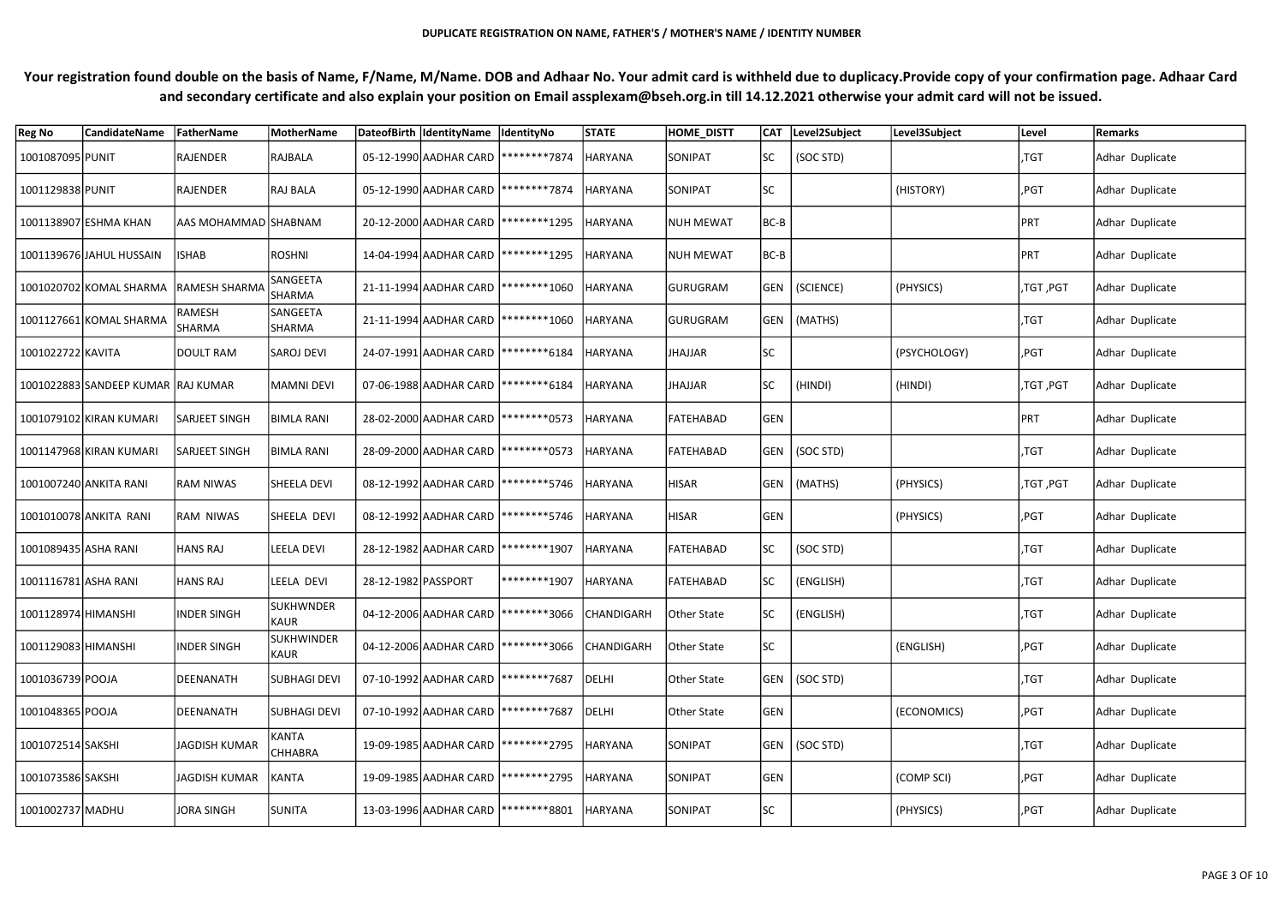| <b>Reg No</b>        | <b>CandidateName</b>                | FatherName                            | MotherName                     |                     | DateofBirth  IdentityName  IdentityNo  |                                                  | <b>STATE</b>   | <b>HOME DISTT</b> |           | CAT Level2Subject | Level3Subject | Level      | <b>Remarks</b>  |
|----------------------|-------------------------------------|---------------------------------------|--------------------------------|---------------------|----------------------------------------|--------------------------------------------------|----------------|-------------------|-----------|-------------------|---------------|------------|-----------------|
| 1001087095 PUNIT     |                                     | RAJENDER                              | RAJBALA                        |                     |                                        | 05-12-1990 AADHAR CARD   ********7874            | <b>HARYANA</b> | SONIPAT           | SC        | (SOC STD)         |               | ,TGT       | Adhar Duplicate |
| 1001129838 PUNIT     |                                     | RAJENDER                              | <b>RAJ BALA</b>                |                     | 05-12-1990 AADHAR CARD   ********7874  |                                                  | <b>HARYANA</b> | SONIPAT           | <b>SC</b> |                   | (HISTORY)     | ,PGT       | Adhar Duplicate |
|                      | 1001138907 ESHMA KHAN               | AAS MOHAMMAD SHABNAM                  |                                |                     |                                        | 20-12-2000 AADHAR CARD   *********1295           | <b>HARYANA</b> | NUH MEWAT         | BC-B      |                   |               | PRT        | Adhar Duplicate |
|                      | 1001139676 JAHUL HUSSAIN            | <b>ISHAB</b>                          | <b>ROSHNI</b>                  |                     | 14-04-1994 AADHAR CARD   *********1295 |                                                  | <b>HARYANA</b> | <b>NUH MEWAT</b>  | BC-B      |                   |               | PRT        | Adhar Duplicate |
|                      |                                     | 1001020702 KOMAL SHARMA RAMESH SHARMA | SANGEETA<br>SHARMA             |                     |                                        | 21-11-1994 AADHAR CARD   *********1060           | <b>HARYANA</b> | <b>GURUGRAM</b>   |           | GEN   (SCIENCE)   | (PHYSICS)     | ,TGT ,PGT  | Adhar Duplicate |
|                      | 1001127661 KOMAL SHARMA             | <b>RAMESH</b><br><b>SHARMA</b>        | SANGEETA<br>SHARMA             |                     | 21-11-1994 AADHAR CARD   ******** 1060 |                                                  | <b>HARYANA</b> | <b>GURUGRAM</b>   |           | GEN   (MATHS)     |               | ,TGT       | Adhar Duplicate |
| 1001022722 KAVITA    |                                     | DOULT RAM                             | <b>SAROJ DEVI</b>              |                     | 24-07-1991 AADHAR CARD   ******** 6184 |                                                  | <b>HARYANA</b> | JHAJJAR           | <b>SC</b> |                   | (PSYCHOLOGY)  | ,PGT       | Adhar Duplicate |
|                      | 1001022883 SANDEEP KUMAR  RAJ KUMAR |                                       | MAMNI DEVI                     |                     | 07-06-1988 AADHAR CARD   ******** 6184 |                                                  | <b>HARYANA</b> | <b>JHAJJAR</b>    | ISC.      | (HINDI)           | (HINDI)       | ,TGT ,PGT  | Adhar Duplicate |
|                      | 1001079102 KIRAN KUMARI             | <b>SARJEET SINGH</b>                  | <b>BIMLA RANI</b>              |                     |                                        | 28-02-2000 AADHAR CARD   ******** * 0573         | <b>HARYANA</b> | <b>FATEHABAD</b>  | GEN       |                   |               | <b>PRT</b> | Adhar Duplicate |
|                      | 1001147968 KIRAN KUMARI             | <b>SARJEET SINGH</b>                  | <b>BIMLA RANI</b>              |                     |                                        | 28-09-2000 AADHAR CARD   ********* 0573          | <b>HARYANA</b> | <b>FATEHABAD</b>  |           | GEN   (SOC STD)   |               | ,TGT       | Adhar Duplicate |
|                      | 1001007240 ANKITA RANI              | <b>RAM NIWAS</b>                      | <b>SHEELA DEVI</b>             |                     |                                        | 08-12-1992 AADHAR CARD   ******** 5746           | <b>HARYANA</b> | <b>HISAR</b>      |           | GEN   (MATHS)     | (PHYSICS)     | ,TGT ,PGT  | Adhar Duplicate |
|                      | 1001010078 ANKITA RANI              | <b>RAM NIWAS</b>                      | SHEELA DEVI                    |                     |                                        | 08-12-1992 AADHAR CARD   ******** 5746           | <b>HARYANA</b> | <b>HISAR</b>      | GEN       |                   | (PHYSICS)     | ,PGT       | Adhar Duplicate |
| 1001089435 ASHA RANI |                                     | HANS RAJ                              | LEELA DEVI                     |                     | 28-12-1982 AADHAR CARD   ******** 1907 |                                                  | <b>HARYANA</b> | FATEHABAD         | SC.       | (SOC STD)         |               | ,TGT       | Adhar Duplicate |
| 1001116781 ASHA RANI |                                     | <b>HANS RAJ</b>                       | lleela devi                    | 28-12-1982 PASSPORT |                                        | ********1907                                     | <b>HARYANA</b> | FATEHABAD         | <b>SC</b> | (ENGLISH)         |               | ,TGT       | Adhar Duplicate |
| 1001128974 HIMANSHI  |                                     | <b>INDER SINGH</b>                    | <b>SUKHWNDER</b><br>KAUR       |                     |                                        | 04-12-2006 AADHAR CARD   ********3066 CHANDIGARH |                | Other State       | SC        | (ENGLISH)         |               | ,TGT       | Adhar Duplicate |
| 1001129083 HIMANSHI  |                                     | <b>INDER SINGH</b>                    | <b>SUKHWINDER</b><br>KAUR      |                     |                                        | 04-12-2006 AADHAR CARD   ********3066            | CHANDIGARH     | Other State       | <b>SC</b> |                   | (ENGLISH)     | ,PGT       | Adhar Duplicate |
| 1001036739 POOJA     |                                     | DEENANATH                             | <b>SUBHAGI DEVI</b>            |                     |                                        | 07-10-1992 AADHAR CARD   ********7687            | DELHI          | Other State       |           | GEN (SOC STD)     |               | ,TGT       | Adhar Duplicate |
| 1001048365 POOJA     |                                     | DEENANATH                             | <b>SUBHAGI DEVI</b>            |                     |                                        | 07-10-1992 AADHAR CARD   ********7687            | DELHI          | Other State       | GEN       |                   | (ECONOMICS)   | ,PGT       | Adhar Duplicate |
| 1001072514 SAKSHI    |                                     | JAGDISH KUMAR                         | <b>KANTA</b><br><b>CHHABRA</b> |                     |                                        | 19-09-1985 AADHAR CARD   ******** 2795           | <b>HARYANA</b> | SONIPAT           |           | GEN   (SOC STD)   |               | ,TGT       | Adhar Duplicate |
| 1001073586 SAKSHI    |                                     | JAGDISH KUMAR                         | KANTA                          |                     |                                        | 19-09-1985 AADHAR CARD   ******** 2795           | <b>HARYANA</b> | SONIPAT           | GEN       |                   | (COMP SCI)    | ,PGT       | Adhar Duplicate |
| 1001002737 MADHU     |                                     | JORA SINGH                            | SUNITA                         |                     |                                        | 13-03-1996 AADHAR CARD   ******** 8801           | HARYANA        | SONIPAT           | SC        |                   | (PHYSICS)     | ,PGT       | Adhar Duplicate |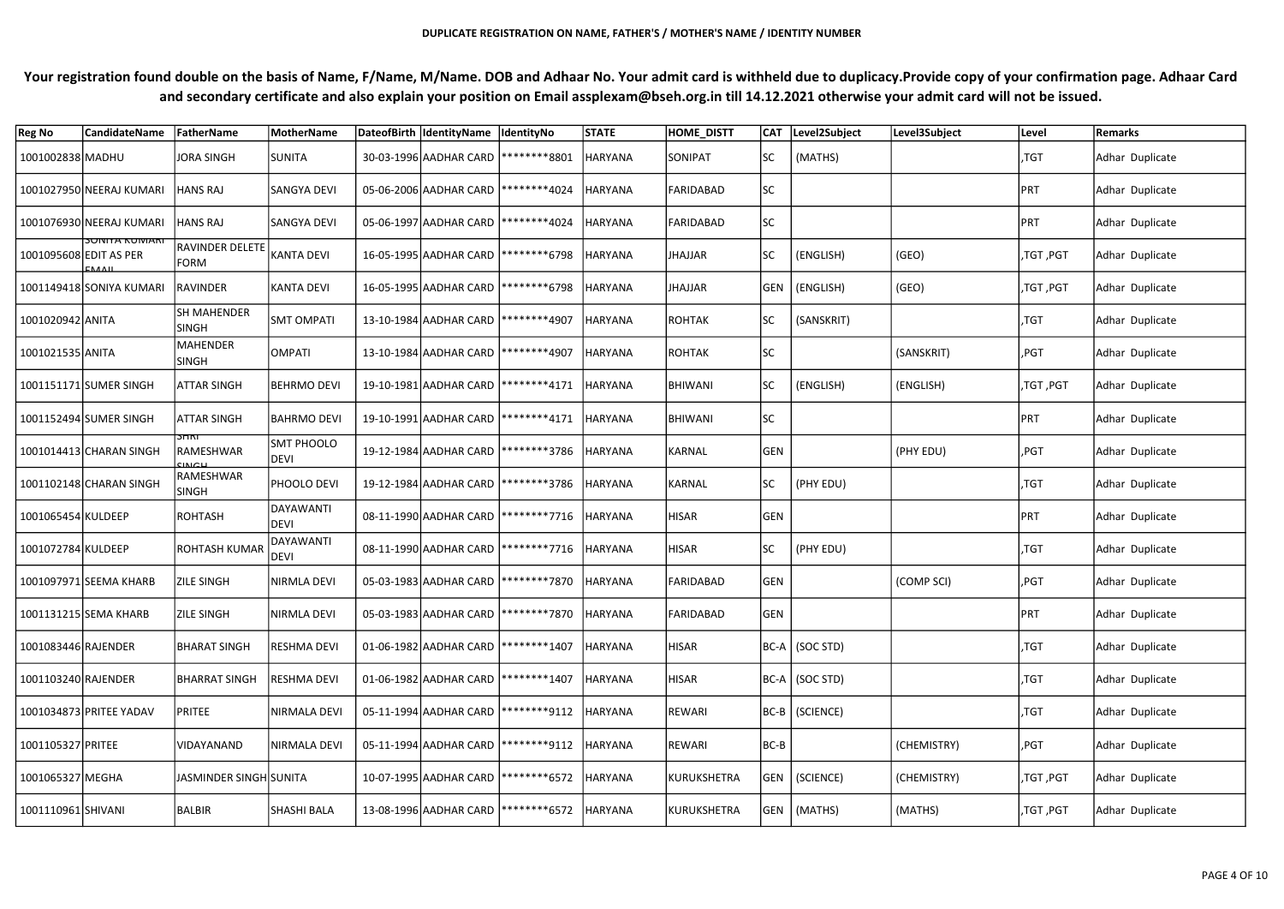| <b>Reg No</b>          | <b>CandidateName</b>     | FatherName                            | MotherName                | DateofBirth  IdentityName  IdentityNo  |                                        | <b>STATE</b>   | <b>HOME DISTT</b> |            | CAT Level2Subject | Level3Subject | Level        | <b>Remarks</b>  |
|------------------------|--------------------------|---------------------------------------|---------------------------|----------------------------------------|----------------------------------------|----------------|-------------------|------------|-------------------|---------------|--------------|-----------------|
| 1001002838 MADHU       |                          | JORA SINGH                            | <b>SUNITA</b>             | 30-03-1996 AADHAR CARD   ******** 8801 |                                        | <b>HARYANA</b> | <b>SONIPAT</b>    | <b>SC</b>  | (MATHS)           |               | ,TGT         | Adhar Duplicate |
|                        | 1001027950 NEERAJ KUMARI | HANS RAJ                              | <b>SANGYA DEVI</b>        | 05-06-2006 AADHAR CARD   ********4024  |                                        | <b>HARYANA</b> | FARIDABAD         | <b>SC</b>  |                   |               | PRT          | Adhar Duplicate |
|                        | 1001076930 NEERAJ KUMARI | HANS RAJ                              | <b>SANGYA DEVI</b>        | 05-06-1997 AADHAR CARD   ******** 4024 |                                        | <b>HARYANA</b> | FARIDABAD         | <b>SC</b>  |                   |               | PRT          | Adhar Duplicate |
| 1001095608 EDIT AS PER | <u>SUNITA KUMARI</u>     | <b>RAVINDER DELETE</b><br><b>FORM</b> | KANTA DEVI                | 16-05-1995 AADHAR CARD   ******** 6798 |                                        | <b>HARYANA</b> | JHAJJAR           |            | (ENGLISH)         | (GEO)         | ,TGT ,PGT    | Adhar Duplicate |
|                        | 1001149418 SONIYA KUMARI | RAVINDER                              | <b>KANTA DEVI</b>         | 16-05-1995 AADHAR CARD   ******** 6798 |                                        | <b>HARYANA</b> | JHAJJAR           |            | GEN   (ENGLISH)   | (GEO)         | ,TGT ,PGT    | Adhar Duplicate |
| 1001020942 ANITA       |                          | SH MAHENDER<br><b>SINGH</b>           | <b>SMT OMPATI</b>         | 13-10-1984 AADHAR CARD   ******** 4907 |                                        | HARYANA        | ROHTAK            |            | (SANSKRIT)        |               | ,TGT         | Adhar Duplicate |
| 1001021535 ANITA       |                          | <b>MAHENDER</b><br><b>SINGH</b>       | <b>OMPATI</b>             | 13-10-1984 AADHAR CARD   ******** 4907 |                                        | <b>HARYANA</b> | ROHTAK            | <b>SC</b>  |                   | (SANSKRIT)    | ,PGT         | Adhar Duplicate |
|                        | 1001151171 SUMER SINGH   | <b>ATTAR SINGH</b>                    | <b>BEHRMO DEVI</b>        | 19-10-1981 AADHAR CARD   ********4171  |                                        | <b>HARYANA</b> | <b>BHIWANI</b>    |            | (ENGLISH)         | (ENGLISH)     | ,TGT ,PGT    | Adhar Duplicate |
|                        | 1001152494 SUMER SINGH   | <b>ATTAR SINGH</b>                    | <b>BAHRMO DEVI</b>        |                                        | 19-10-1991 AADHAR CARD   ******** 4171 | HARYANA        | <b>BHIWANI</b>    | SC         |                   |               | <b>PRT</b>   | Adhar Duplicate |
|                        | 1001014413 CHARAN SINGH  | דחדכ<br>RAMESHWAR<br>21MCH            | <b>SMT PHOOLO</b><br>DEVI |                                        | 19-12-1984 AADHAR CARD   ********3786  | <b>HARYANA</b> | KARNAL            | <b>GEN</b> |                   | (PHY EDU)     | ,PGT         | Adhar Duplicate |
|                        | 1001102148 CHARAN SINGH  | RAMESHWAR<br><b>SINGH</b>             | PHOOLO DEVI               |                                        | 19-12-1984 AADHAR CARD   ********3786  | <b>HARYANA</b> | KARNAL            | SC         | (PHY EDU)         |               | $\sqrt{5}$ , | Adhar Duplicate |
| 1001065454 KULDEEP     |                          | ROHTASH                               | DAYAWANTI<br>DEVI         |                                        | 08-11-1990 AADHAR CARD   ********7716  | <b>HARYANA</b> | HISAR             | GEN        |                   |               | PRT          | Adhar Duplicate |
| 1001072784 KULDEEP     |                          | ROHTASH KUMAF                         | DAYAWANTI<br><b>DEVI</b>  |                                        | 08-11-1990 AADHAR CARD   ********7716  | HARYANA        | HISAR             | <b>SC</b>  | (PHY EDU)         |               | ,TGT         | Adhar Duplicate |
|                        | 1001097971 SEEMA KHARB   | <b>ZILE SINGH</b>                     | NIRMLA DEVI               |                                        | 05-03-1983 AADHAR CARD   ********7870  | <b>HARYANA</b> | FARIDABAD         | <b>GEN</b> |                   | (COMP SCI)    | ,PGT         | Adhar Duplicate |
|                        | 1001131215 SEMA KHARB    | <b>ZILE SINGH</b>                     | NIRMLA DEVI               |                                        | 05-03-1983 AADHAR CARD   ********7870  | HARYANA        | FARIDABAD         | GEN        |                   |               | PRT          | Adhar Duplicate |
| 1001083446 RAJENDER    |                          | BHARAT SINGH                          | RESHMA DEVI               | 01-06-1982 AADHAR CARD   *********1407 |                                        | <b>HARYANA</b> | <b>HISAR</b>      |            | BC-A (SOC STD)    |               | ,TGT         | Adhar Duplicate |
| 1001103240 RAJENDER    |                          | <b>BHARRAT SINGH</b>                  | RESHMA DEVI               | 01-06-1982 AADHAR CARD   *********1407 |                                        | <b>HARYANA</b> | HISAR             |            | BC-A (SOC STD)    |               | ,TGT         | Adhar Duplicate |
|                        | 1001034873 PRITEE YADAV  | PRITEE                                | NIRMALA DEVI              | 05-11-1994 AADHAR CARD   ********9112  |                                        | <b>HARYANA</b> | REWARI            |            | BC-B (SCIENCE)    |               | ,TGT         | Adhar Duplicate |
| 1001105327 PRITEE      |                          | VIDAYANAND                            | NIRMALA DEVI              | 05-11-1994 AADHAR CARD   ********9112  |                                        | <b>HARYANA</b> | REWARI            | BC-B       |                   | (CHEMISTRY)   | ,PGT         | Adhar Duplicate |
| 1001065327 MEGHA       |                          | JASMINDER SINGH SUNITA                |                           | 10-07-1995 AADHAR CARD   ******** 6572 |                                        | <b>HARYANA</b> | KURUKSHETRA       |            | GEN   (SCIENCE)   | (CHEMISTRY)   | ,TGT, PGT    | Adhar Duplicate |
| 1001110961 SHIVANI     |                          | BALBIR                                | <b>SHASHI BALA</b>        |                                        | 13-08-1996 AADHAR CARD   ******** 6572 | <b>HARYANA</b> | KURUKSHETRA       |            | GEN   (MATHS)     | (MATHS)       | ,TGT ,PGT    | Adhar Duplicate |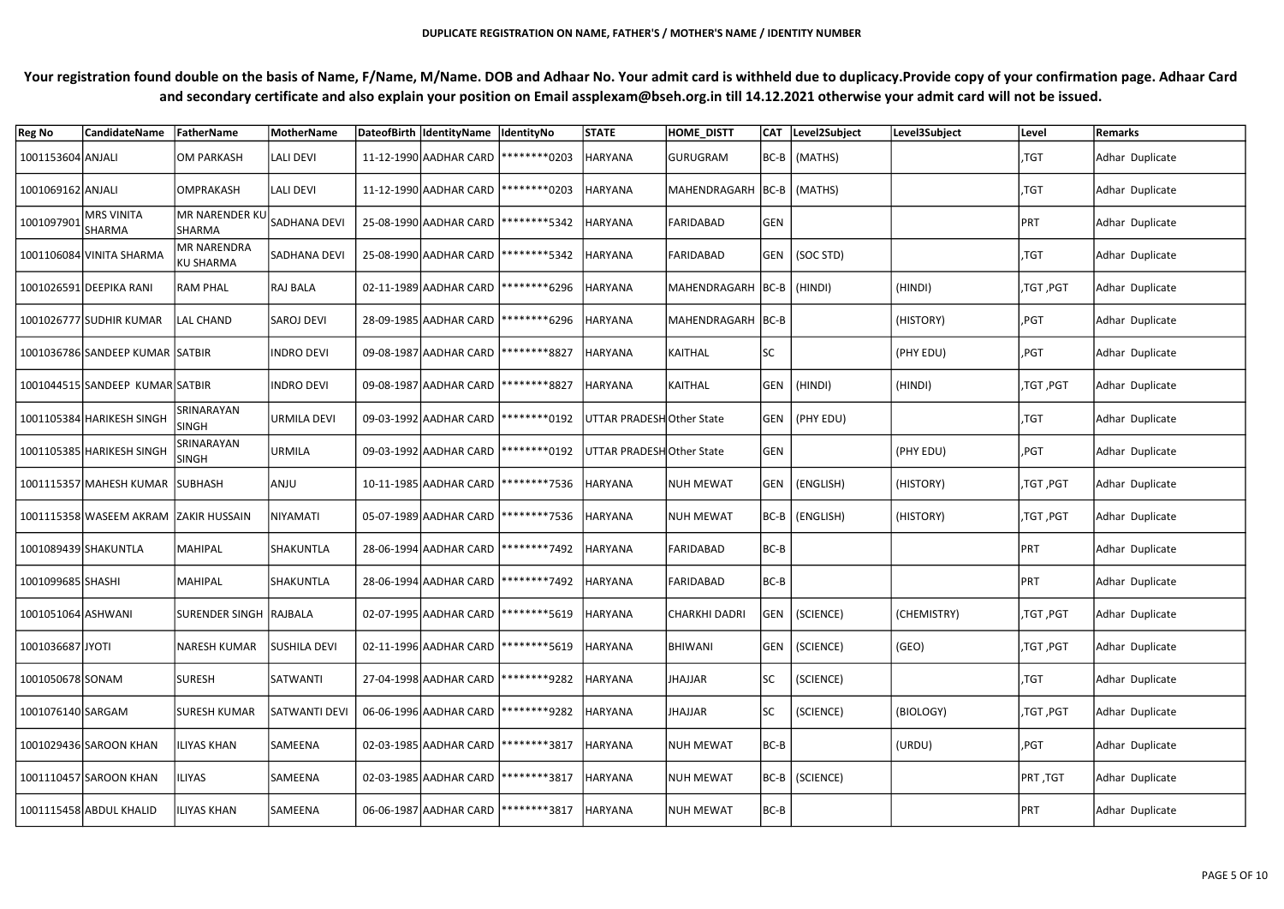| <b>Reg No</b>        | <b>CandidateName</b>                  | FatherName                             | <b>MotherName</b>    | DateofBirth IdentityName  IdentityNo    |                                                                     | <b>STATE</b>             | HOME_DISTT                    |           | CAT Level2Subject | Level3Subject | Level      | Remarks         |
|----------------------|---------------------------------------|----------------------------------------|----------------------|-----------------------------------------|---------------------------------------------------------------------|--------------------------|-------------------------------|-----------|-------------------|---------------|------------|-----------------|
| 1001153604 ANJALI    |                                       | OM PARKASH                             | LALI DEVI            | 11-12-1990 AADHAR CARD   ********* 0203 |                                                                     | <b>HARYANA</b>           | <b>GURUGRAM</b>               |           | BC-B   (MATHS)    |               | ,TGT       | Adhar Duplicate |
| 1001069162 ANJALI    |                                       | <b>OMPRAKASH</b>                       | <b>LALI DEVI</b>     | 11-12-1990 AADHAR CARD   ********* 0203 |                                                                     | <b>HARYANA</b>           | MAHENDRAGARH  BC-B   (MATHS)  |           |                   |               | ,TGT       | Adhar Duplicate |
| 1001097901           | MRS VINITA<br>SHARMA                  | <b>MR NARENDER KU</b><br>SHARMA        | SADHANA DEVI         | 25-08-1990 AADHAR CARD   ******** 5342  |                                                                     | <b>HARYANA</b>           | FARIDABAD                     | GEN       |                   |               | PRT        | Adhar Duplicate |
|                      | 1001106084 VINITA SHARMA              | <b>MR NARENDRA</b><br><b>KU SHARMA</b> | SADHANA DEVI         | 25-08-1990 AADHAR CARD   ******** 5342  |                                                                     | <b>HARYANA</b>           | <b>FARIDABAD</b>              |           | GEN   (SOC STD)   |               | ,TGT       | Adhar Duplicate |
|                      | 1001026591 DEEPIKA RANI               | <b>RAM PHAL</b>                        | <b>RAJ BALA</b>      | 02-11-1989 AADHAR CARD   ******** 6296  |                                                                     | <b>HARYANA</b>           | MAHENDRAGARH   BC-B   (HINDI) |           |                   | (HINDI)       | ,TGT ,PGT  | Adhar Duplicate |
|                      | 1001026777 SUDHIR KUMAR               | LAL CHAND                              | <b>SAROJ DEVI</b>    | 28-09-1985 AADHAR CARD   ******** 6296  |                                                                     | HARYANA                  | MAHENDRAGARH BC-B             |           |                   | (HISTORY)     | $ $ ,PGT   | Adhar Duplicate |
|                      | 1001036786 SANDEEP KUMAR SATBIR       |                                        | <b>INDRO DEVI</b>    | 09-08-1987 AADHAR CARD   ******** 8827  |                                                                     | HARYANA                  | KAITHAL                       | <b>SC</b> |                   | (PHY EDU)     | ,PGT       | Adhar Duplicate |
|                      | 1001044515 SANDEEP KUMAR SATBIR       |                                        | <b>INDRO DEVI</b>    | 09-08-1987 AADHAR CARD   ******** 8827  |                                                                     | <b>HARYANA</b>           | KAITHAL                       |           | GEN   (HINDI)     | (HINDI)       | ,TGT ,PGT  | Adhar Duplicate |
|                      | 1001105384 HARIKESH SINGH             | <b>SRINARAYAN</b><br><b>SINGH</b>      | <b>URMILA DEVI</b>   |                                         | 09-03-1992 AADHAR CARD   ********* 0192   UTTAR PRADESH Other State |                          |                               |           | GEN (PHY EDU)     |               | ,TGT       | Adhar Duplicate |
|                      | 1001105385 HARIKESH SINGH             | SRINARAYAN<br><b>SINGH</b>             | URMILA               |                                         | 09-03-1992 AADHAR CARD   ********* 0192                             | UTTAR PRADESHOther State |                               | GEN       |                   | (PHY EDU)     | ,PGT       | Adhar Duplicate |
|                      | 1001115357 MAHESH KUMAR SUBHASH       |                                        | ANJU                 |                                         | 10-11-1985 AADHAR CARD   ********7536                               | HARYANA                  | <b>NUH MEWAT</b>              |           | GEN (ENGLISH)     | (HISTORY)     | ,TGT ,PGT  | Adhar Duplicate |
|                      | 1001115358 WASEEM AKRAM ZAKIR HUSSAIN |                                        | NIYAMATI             |                                         | 05-07-1989 AADHAR CARD   ********7536                               | <b>HARYANA</b>           | <b>NUH MEWAT</b>              |           | BC-B (ENGLISH)    | (HISTORY)     | ,TGT ,PGT  | Adhar Duplicate |
| 1001089439 SHAKUNTLA |                                       | MAHIPAL                                | <b>SHAKUNTLA</b>     | 28-06-1994 AADHAR CARD   ********7492   |                                                                     | <b>HARYANA</b>           | FARIDABAD                     | $BC-B$    |                   |               | PRT        | Adhar Duplicate |
| 1001099685 SHASHI    |                                       | MAHIPAL                                | SHAKUNTLA            |                                         | 28-06-1994 AADHAR CARD   ********7492                               | <b>HARYANA</b>           | FARIDABAD                     | $BC-B$    |                   |               | PRT        | Adhar Duplicate |
| 1001051064 ASHWANI   |                                       | SURENDER SINGH RAJBALA                 |                      | 02-07-1995 AADHAR CARD   ******** 5619  |                                                                     | <b>HARYANA</b>           | CHARKHI DADRI                 |           | GEN   (SCIENCE)   | (CHEMISTRY)   | ,TGT ,PGT  | Adhar Duplicate |
| 1001036687 JYOTI     |                                       | <b>NARESH KUMAR</b>                    | SUSHILA DEVI         | 02-11-1996 AADHAR CARD   ******** 5619  |                                                                     | <b>HARYANA</b>           | BHIWANI                       |           | GEN (SCIENCE)     | (GEO)         | ,TGT ,PGT  | Adhar Duplicate |
| 1001050678 SONAM     |                                       | <b>SURESH</b>                          | SATWANTI             | 27-04-1998 AADHAR CARD   ********9282   |                                                                     | <b>HARYANA</b>           | JHAJJAR                       | SC        | (SCIENCE)         |               | ,TGT       | Adhar Duplicate |
| 1001076140 SARGAM    |                                       | <b>SURESH KUMAR</b>                    | <b>SATWANTI DEVI</b> | 06-06-1996 AADHAR CARD   ********9282   |                                                                     | <b>HARYANA</b>           | JHAJJAR                       | SC        | (SCIENCE)         | (BIOLOGY)     | ,TGT, PGT  | Adhar Duplicate |
|                      | 1001029436 SAROON KHAN                | <b>ILIYAS KHAN</b>                     | SAMEENA              | 02-03-1985 AADHAR CARD   ********3817   |                                                                     | <b>HARYANA</b>           | NUH MEWAT                     | $BC-B$    |                   | (URDU)        | ,PGT       | Adhar Duplicate |
|                      | 1001110457 SAROON KHAN                | <b>ILIYAS</b>                          | SAMEENA              | 02-03-1985 AADHAR CARD   ********3817   |                                                                     | <b>HARYANA</b>           | NUH MEWAT                     |           | BC-B   (SCIENCE)  |               | TGT, PRT   | Adhar Duplicate |
|                      | 1001115458 ABDUL KHALID               | <b>ILIYAS KHAN</b>                     | SAMEENA              | 06-06-1987 AADHAR CARD   ******** 3817  |                                                                     | <b>HARYANA</b>           | NUH MEWAT                     | $BC-B$    |                   |               | <b>PRT</b> | Adhar Duplicate |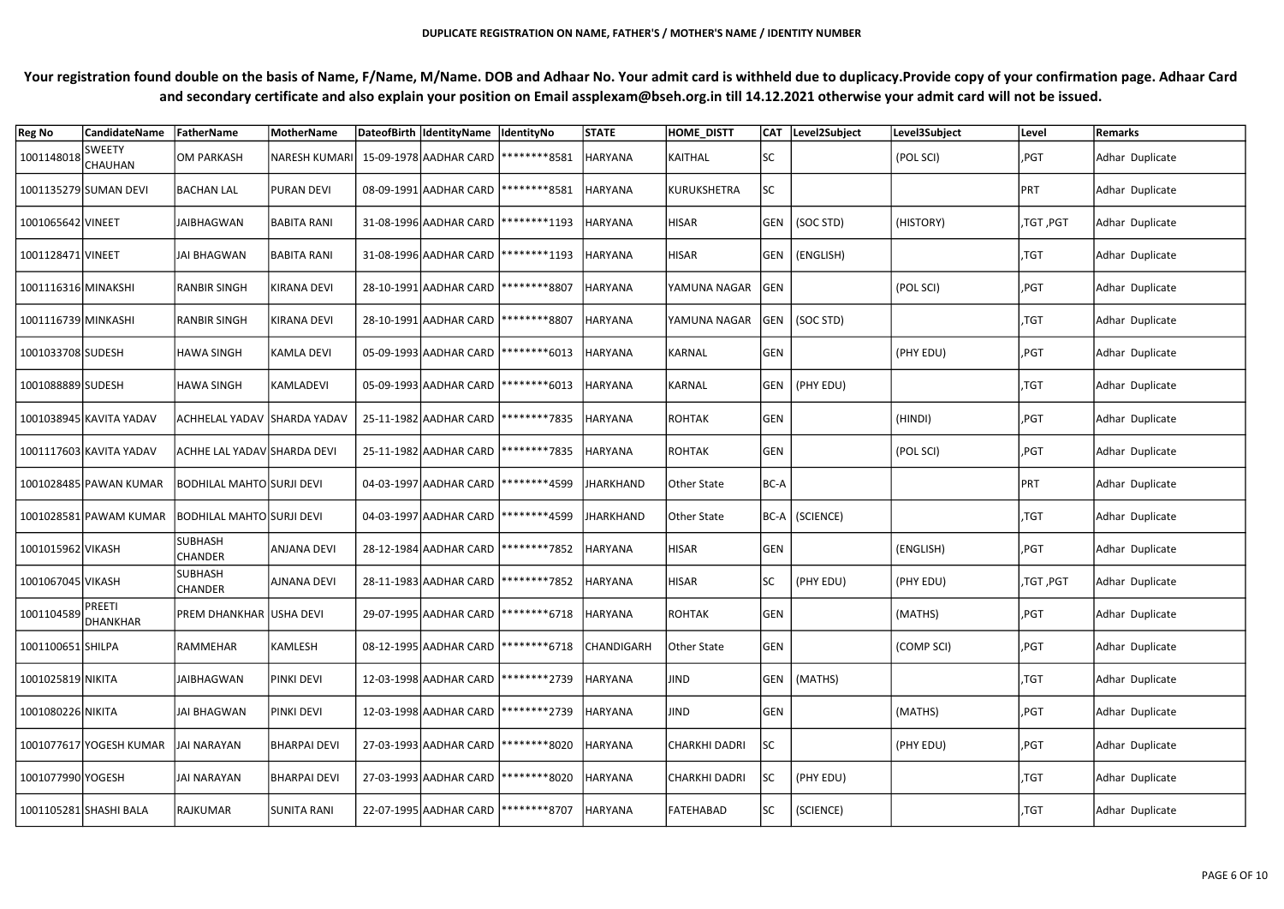| <b>Reg No</b>                 | <b>CandidateName</b>     | FatherName                       | <b>MotherName</b>   | DateofBirth  IdentityName  IdentityNo  |                                                  | <b>STATE</b>      | <b>HOME DISTT</b>    |            | CAT Level2Subject | Level3Subject | Level     | Remarks         |
|-------------------------------|--------------------------|----------------------------------|---------------------|----------------------------------------|--------------------------------------------------|-------------------|----------------------|------------|-------------------|---------------|-----------|-----------------|
| 1001148018                    | <b>SWEETY</b><br>CHAUHAN | OM PARKASH                       | NARESH KUMARI       | 15-09-1978 AADHAR CARD  ********8581   |                                                  | <b>HARYANA</b>    | KAITHAL              | <b>SC</b>  |                   | (POL SCI)     | ,PGT      | Adhar Duplicate |
|                               | 1001135279 SUMAN DEVI    | BACHAN LAL                       | <b>PURAN DEVI</b>   | 08-09-1991 AADHAR CARD   ********8581  |                                                  | <b>HARYANA</b>    | KURUKSHETRA          | <b>SC</b>  |                   |               | PRT       | Adhar Duplicate |
| 1001065642 VINEET             |                          | <b>JAIBHAGWAN</b>                | <b>BABITA RANI</b>  | 31-08-1996 AADHAR CARD   ******** 1193 |                                                  | <b>HARYANA</b>    | HISAR                |            | GEN   (SOC STD)   | (HISTORY)     | ,TGT ,PGT | Adhar Duplicate |
| 1001128471 VINEET             |                          | JAI BHAGWAN                      | <b>BABITA RANI</b>  | 31-08-1996 AADHAR CARD   ******** 1193 |                                                  | <b>HARYANA</b>    | <b>HISAR</b>         |            | GEN   (ENGLISH)   |               | ,TGT      | Adhar Duplicate |
| 1001116316 MINAKSHI           |                          | RANBIR SINGH                     | KIRANA DEVI         | 28-10-1991 AADHAR CARD   ******** 8807 |                                                  | <b>HARYANA</b>    | YAMUNA NAGAR         | <b>GEN</b> |                   | (POL SCI)     | ,PGT      | Adhar Duplicate |
| 1001116739 MINKASHI           |                          | <b>RANBIR SINGH</b>              | <b>KIRANA DEVI</b>  | 28-10-1991 AADHAR CARD   ******** 8807 |                                                  | <b>HARYANA</b>    | YAMUNA NAGAR         |            | GEN   (SOC STD)   |               | ,TGT      | Adhar Duplicate |
| 1001033708 SUDESH             |                          | <b>HAWA SINGH</b>                | KAMLA DEVI          | 05-09-1993 AADHAR CARD   ******** 6013 |                                                  | <b>HARYANA</b>    | KARNAL               | <b>GEN</b> |                   | (PHY EDU)     | ,PGT      | Adhar Duplicate |
| 1001088889 SUDESH             |                          | HAWA SINGH                       | KAMLADEVI           | 05-09-1993 AADHAR CARD   ******** 6013 |                                                  | <b>HARYANA</b>    | KARNAL               |            | GEN   (PHY EDU)   |               | ,TGT      | Adhar Duplicate |
|                               | 1001038945 KAVITA YADAV  | ACHHELAL YADAV  SHARDA YADAV     |                     |                                        | 25-11-1982 AADHAR CARD   ********7835            | <b>HARYANA</b>    | ROHTAK               | GEN        |                   | (HINDI)       | ,PGT      | Adhar Duplicate |
|                               | 1001117603 KAVITA YADAV  | ACHHE LAL YADAV SHARDA DEVI      |                     |                                        | 25-11-1982 AADHAR CARD   ********7835            | HARYANA           | ROHTAK               | <b>GEN</b> |                   | (POL SCI)     | ,PGT      | Adhar Duplicate |
|                               | 1001028485 PAWAN KUMAR   | <b>BODHILAL MAHTO SURJI DEVI</b> |                     |                                        | 04-03-1997 AADHAR CARD   ******** 4599           | JHARKHAND         | Other State          | BC-A       |                   |               | PRT       | Adhar Duplicate |
|                               | 1001028581 PAWAM KUMAR   | <b>BODHILAL MAHTO SURJI DEVI</b> |                     |                                        | 04-03-1997 AADHAR CARD   ******** 4599           | JHARKHAND         | Other State          |            | BC-A   (SCIENCE)  |               | ,TGT      | Adhar Duplicate |
| 1001015962 VIKASH             |                          | <b>SUBHASH</b><br><b>CHANDER</b> | <b>ANJANA DEVI</b>  | 28-12-1984 AADHAR CARD   ********7852  |                                                  | <b>HARYANA</b>    | HISAR                | <b>GEN</b> |                   | (ENGLISH)     | ,PGT      | Adhar Duplicate |
| 1001067045 VIKASH             |                          | <b>SUBHASH</b><br><b>CHANDER</b> | <b>AJNANA DEVI</b>  |                                        | 28-11-1983 AADHAR CARD   ********7852            | <b>HARYANA</b>    | <b>HISAR</b>         | <b>SC</b>  | (PHY EDU)         | (PHY EDU)     | ,TGT ,PGT | Adhar Duplicate |
| 1001104589 PREETI<br>DHANKHAR |                          | PREM DHANKHAR USHA DEVI          |                     |                                        | 29-07-1995 AADHAR CARD   *********6718   HARYANA |                   | ROHTAK               | GEN        |                   | (MATHS)       | ,PGT      | Adhar Duplicate |
| 1001100651 SHILPA             |                          | RAMMEHAR                         | KAMLESH             |                                        | 08-12-1995 AADHAR CARD   ********6718            | <b>CHANDIGARH</b> | Other State          | <b>GEN</b> |                   | (COMP SCI)    | ,PGT      | Adhar Duplicate |
| 1001025819 NIKITA             |                          | <b>JAIBHAGWAN</b>                | PINKI DEVI          | 12-03-1998 AADHAR CARD   ******** 2739 |                                                  | <b>HARYANA</b>    | JIND                 |            | GEN   (MATHS)     |               | ,TGT      | Adhar Duplicate |
| 1001080226 NIKITA             |                          | <b>JAI BHAGWAN</b>               | PINKI DEVI          | 12-03-1998 AADHAR CARD   ******** 2739 |                                                  | <b>HARYANA</b>    | JIND                 | GEN        |                   | (MATHS)       | ,PGT      | Adhar Duplicate |
|                               | 1001077617 YOGESH KUMAR  | JAI NARAYAN                      | <b>BHARPAI DEVI</b> | 27-03-1993 AADHAR CARD   ******** 8020 |                                                  | <b>HARYANA</b>    | <b>CHARKHI DADRI</b> | SC         |                   | (PHY EDU)     | ,PGT      | Adhar Duplicate |
| 1001077990 YOGESH             |                          | <b>JAI NARAYAN</b>               | <b>BHARPAI DEVI</b> | 27-03-1993 AADHAR CARD   ********8020  |                                                  | <b>HARYANA</b>    | <b>CHARKHI DADRI</b> | lsc        | (PHY EDU)         |               | $ $ ,TGT  | Adhar Duplicate |
|                               | 1001105281 SHASHI BALA   | RAJKUMAR                         | <b>SUNITA RANI</b>  |                                        | 22-07-1995 AADHAR CARD   ********8707            | HARYANA           | FATEHABAD            | <b>SC</b>  | (SCIENCE)         |               | ,TGT      | Adhar Duplicate |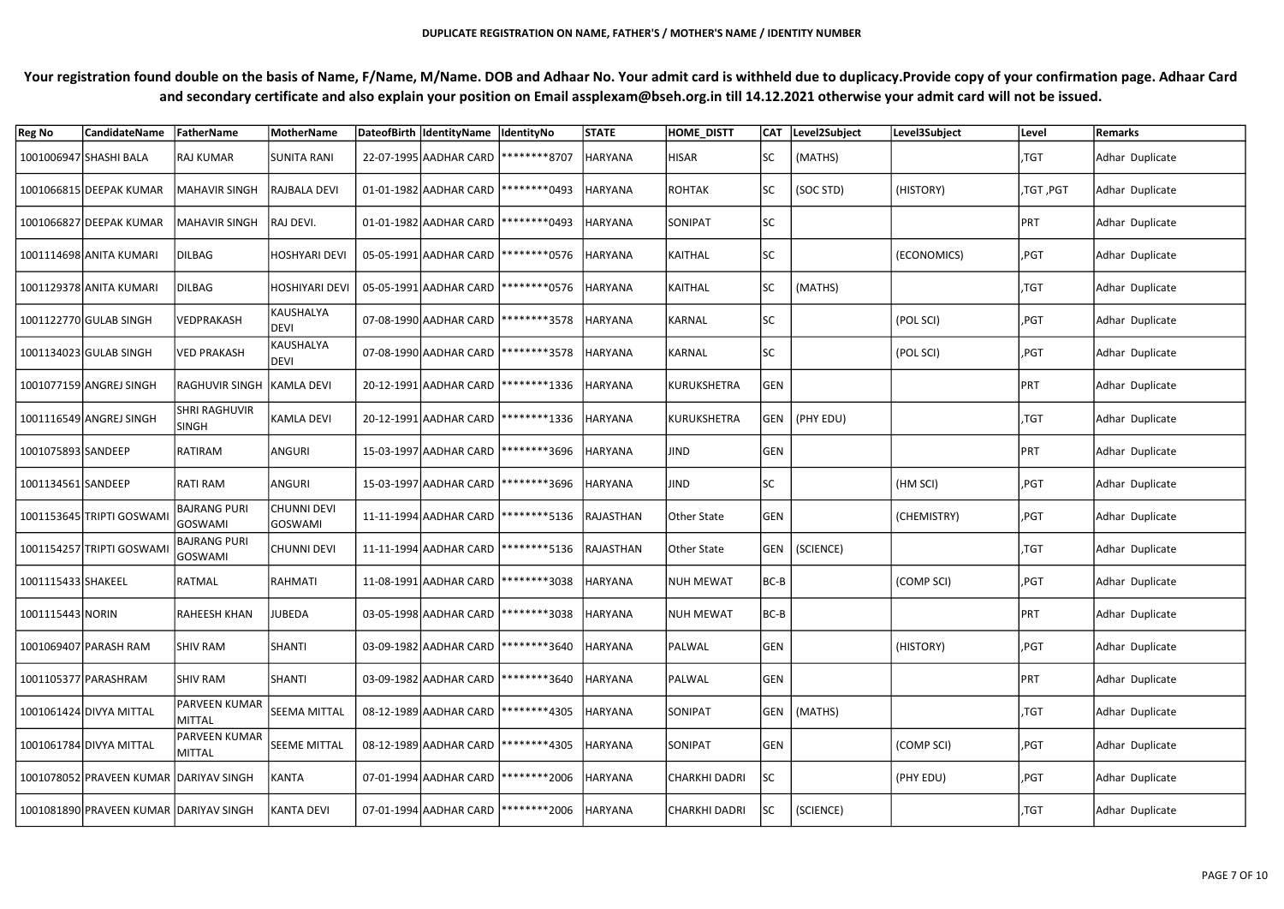| <b>Reg No</b>      | <b>CandidateName</b>                    | FatherName                     | <b>MotherName</b>             | DateofBirth  IdentityName  IdentityNo   |                                         | <b>STATE</b>   | <b>HOME_DISTT</b>    |            | CAT Level2Subject | Level3Subject | Level      | Remarks         |
|--------------------|-----------------------------------------|--------------------------------|-------------------------------|-----------------------------------------|-----------------------------------------|----------------|----------------------|------------|-------------------|---------------|------------|-----------------|
|                    | 1001006947 SHASHI BALA                  | <b>RAJ KUMAR</b>               | <b>SUNITA RANI</b>            | 22-07-1995 AADHAR CARD   ********8707   |                                         | <b>HARYANA</b> | <b>HISAR</b>         | SC         | (MATHS)           |               | ,TGT       | Adhar Duplicate |
|                    | 1001066815 DEEPAK KUMAR                 | <b>MAHAVIR SINGH</b>           | <b>RAJBALA DEVI</b>           | 01-01-1982 AADHAR CARD   ********* 0493 |                                         | <b>HARYANA</b> | ROHTAK               | lsc i      | (SOC STD)         | (HISTORY)     | ,TGT, PGT  | Adhar Duplicate |
|                    | 1001066827 DEEPAK KUMAR                 | MAHAVIR SINGH                  | RAJ DEVI.                     |                                         | 01-01-1982 AADHAR CARD   *********0493  | <b>HARYANA</b> | SONIPAT              | <b>SC</b>  |                   |               | PRT        | Adhar Duplicate |
|                    | 1001114698 ANITA KUMARI                 | DILBAG                         | <b>HOSHYARI DEVI</b>          |                                         | 05-05-1991 AADHAR CARD   ********* 0576 | <b>HARYANA</b> | KAITHAL              | <b>SC</b>  |                   | (ECONOMICS)   | ,PGT       | Adhar Duplicate |
|                    | 1001129378 ANITA KUMARI                 | DILBAG                         | HOSHIYARI DEVI                |                                         | 05-05-1991 AADHAR CARD   *********0576  | HARYANA        | KAITHAL              |            | (MATHS)           |               | ,TGT       | Adhar Duplicate |
|                    | 1001122770 GULAB SINGH                  | <b>VEDPRAKASH</b>              | KAUSHALYA<br>DEVI             |                                         | 07-08-1990 AADHAR CARD   ******** 3578  | HARYANA        | KARNAL               | SC.        |                   | (POL SCI)     | ,PGT       | Adhar Duplicate |
|                    | 1001134023 GULAB SINGH                  | <b>VED PRAKASH</b>             | KAUSHALYA<br>DEVI             |                                         | 07-08-1990 AADHAR CARD   ********3578   | HARYANA        | KARNAL               | SC.        |                   | (POL SCI)     | ,PGT       | Adhar Duplicate |
|                    | 1001077159 ANGREJ SINGH                 | RAGHUVIR SINGH KAMLA DEVI      |                               |                                         | 20-12-1991 AADHAR CARD   *********1336  | <b>HARYANA</b> | KURUKSHETRA          | <b>GEN</b> |                   |               | <b>PRT</b> | Adhar Duplicate |
|                    | 1001116549 ANGREJ SINGH                 | SHRI RAGHUVIR<br><b>SINGH</b>  | <b>KAMLA DEVI</b>             |                                         | 20-12-1991 AADHAR CARD   ********1336   | <b>HARYANA</b> | KURUKSHETRA          |            | GEN   (PHY EDU)   |               | ,TGT       | Adhar Duplicate |
| 1001075893 SANDEEP |                                         | RATIRAM                        | ANGURI                        |                                         | 15-03-1997 AADHAR CARD   ********3696   | <b>HARYANA</b> | JIND                 | GEN        |                   |               | PRT        | Adhar Duplicate |
| 1001134561 SANDEEP |                                         | RATI RAM                       | ANGURI                        |                                         | 15-03-1997 AADHAR CARD   ********3696   | HARYANA        | JIND                 | SC         |                   | (HM SCI)      | ,PGT       | Adhar Duplicate |
|                    | 1001153645 TRIPTI GOSWAMI               | <b>BAJRANG PURI</b><br>GOSWAMI | <b>CHUNNI DEVI</b><br>GOSWAMI |                                         | 11-11-1994 AADHAR CARD   ******** 5136  | RAJASTHAN      | Other State          | GEN        |                   | (CHEMISTRY)   | ,PGT       | Adhar Duplicate |
|                    | 1001154257 TRIPTI GOSWAMI               | <b>BAJRANG PURI</b><br>GOSWAMI | <b>CHUNNI DEVI</b>            |                                         | 11-11-1994 AADHAR CARD   ******** 5136  | RAJASTHAN      | Other State          |            | GEN   (SCIENCE)   |               | ,TGT       | Adhar Duplicate |
| 1001115433 SHAKEEL |                                         | RATMAL                         | RAHMATI                       |                                         | 11-08-1991 AADHAR CARD   ********3038   | <b>HARYANA</b> | NUH MEWAT            | BC-B       |                   | (COMP SCI)    | ,PGT       | Adhar Duplicate |
| 1001115443 NORIN   |                                         | RAHEESH KHAN                   | <b>JUBEDA</b>                 |                                         | 03-05-1998 AADHAR CARD   ********3038   | <b>HARYANA</b> | <b>NUH MEWAT</b>     | BC-B       |                   |               | PRT        | Adhar Duplicate |
|                    | 1001069407 PARASH RAM                   | <b>SHIV RAM</b>                | SHANTI                        |                                         | 03-09-1982 AADHAR CARD   ********3640   | <b>HARYANA</b> | PALWAL               | <b>GEN</b> |                   | (HISTORY)     | ,PGT       | Adhar Duplicate |
|                    | 1001105377 PARASHRAM                    | <b>SHIV RAM</b>                | SHANTI                        |                                         | 03-09-1982 AADHAR CARD   ********3640   | <b>HARYANA</b> | PALWAL               | GEN        |                   |               | PRT        | Adhar Duplicate |
|                    | 1001061424 DIVYA MITTAL                 | PARVEEN KUMAR<br>MITTAL        | SEEMA MITTAL                  |                                         | 08-12-1989 AADHAR CARD   ******** 4305  | <b>HARYANA</b> | SONIPAT              |            | GEN   (MATHS)     |               | ,TGT       | Adhar Duplicate |
|                    | 1001061784 DIVYA MITTAL                 | <b>PARVEEN KUMAR</b><br>MITTAL | <b>SEEME MITTAL</b>           |                                         | 08-12-1989 AADHAR CARD   ******** 4305  | HARYANA        | SONIPAT              | GEN        |                   | (COMP SCI)    | ,PGT       | Adhar Duplicate |
|                    | 1001078052 PRAVEEN KUMAR  DARIYAV SINGH |                                | KANTA                         |                                         | 07-01-1994 AADHAR CARD   ******** 2006  | HARYANA        | <b>CHARKHI DADRI</b> | SC         |                   | (PHY EDU)     | ,PGT       | Adhar Duplicate |
|                    | 1001081890 PRAVEEN KUMAR DARIYAV SINGH  |                                | <b>KANTA DEVI</b>             |                                         | 07-01-1994 AADHAR CARD   ******** 2006  | HARYANA        | <b>CHARKHI DADRI</b> | SC         | (SCIENCE)         |               | ,TGT       | Adhar Duplicate |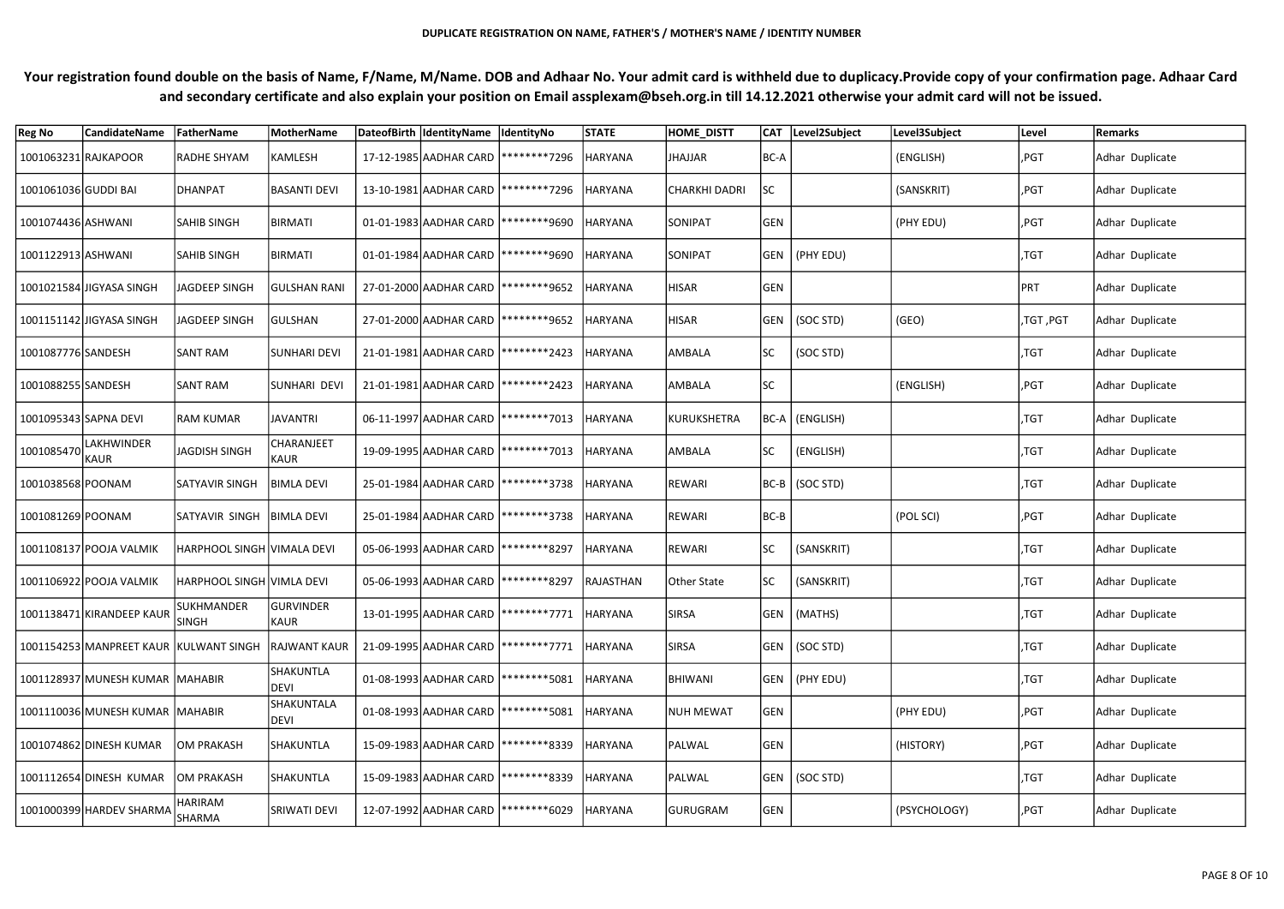| <b>Reg No</b>         | <b>CandidateName</b>                   | FatherName                 | <b>MotherName</b>         | DateofBirth IdentityName IdentityNo    |                                                 | <b>STATE</b>   | <b>HOME DISTT</b>    |            | CAT Level2Subject | Level3Subject | Level        | Remarks         |
|-----------------------|----------------------------------------|----------------------------|---------------------------|----------------------------------------|-------------------------------------------------|----------------|----------------------|------------|-------------------|---------------|--------------|-----------------|
| 1001063231 RAJKAPOOR  |                                        | RADHE SHYAM                | KAMLESH                   |                                        | 17-12-1985 AADHAR CARD   ********7296           | <b>HARYANA</b> | JHAJJAR              | BC-A       |                   | (ENGLISH)     | ,PGT         | Adhar Duplicate |
| 1001061036 GUDDI BAI  |                                        | DHANPAT                    | <b>BASANTI DEVI</b>       |                                        | 13-10-1981 AADHAR CARD   ********7296           | <b>HARYANA</b> | <b>CHARKHI DADRI</b> | <b>SC</b>  |                   | (SANSKRIT)    | ,PGT         | Adhar Duplicate |
| 1001074436 ASHWANI    |                                        | <b>SAHIB SINGH</b>         | <b>BIRMATI</b>            |                                        | 01-01-1983 AADHAR CARD   ******** 9690          | <b>HARYANA</b> | SONIPAT              | GEN        |                   | (PHY EDU)     | ,PGT         | Adhar Duplicate |
| 1001122913 ASHWANI    |                                        | <b>SAHIB SINGH</b>         | <b>BIRMATI</b>            | 01-01-1984 AADHAR CARD   ********9690  |                                                 | <b>HARYANA</b> | <b>SONIPAT</b>       |            | GEN   (PHY EDU)   |               | ,TGT         | Adhar Duplicate |
|                       | 1001021584 JIGYASA SINGH               | JAGDEEP SINGH              | <b>GULSHAN RANI</b>       | 27-01-2000 AADHAR CARD   ******** 9652 |                                                 | <b>HARYANA</b> | <b>HISAR</b>         | <b>GEN</b> |                   |               | PRT          | Adhar Duplicate |
|                       | 1001151142 JIGYASA SINGH               | JAGDEEP SINGH              | <b>GULSHAN</b>            | 27-01-2000 AADHAR CARD   ********9652  |                                                 | <b>HARYANA</b> | <b>HISAR</b>         |            | GEN   (SOC STD)   | (GEO)         | ,TGT ,PGT    | Adhar Duplicate |
| 1001087776 SANDESH    |                                        | <b>SANT RAM</b>            | <b>SUNHARI DEVI</b>       | 21-01-1981 AADHAR CARD   ******** 2423 |                                                 | <b>HARYANA</b> | AMBALA               | <b>SC</b>  | (SOC STD)         |               | ,TGT         | Adhar Duplicate |
| 1001088255 SANDESH    |                                        | <b>SANT RAM</b>            | SUNHARI DEVI              | 21-01-1981 AADHAR CARD   ******** 2423 |                                                 | <b>HARYANA</b> | AMBALA               | SC         |                   | (ENGLISH)     | $ $ ,PGT     | Adhar Duplicate |
| 1001095343 SAPNA DEVI |                                        | <b>RAM KUMAR</b>           | JAVANTRI                  |                                        | 06-11-1997 AADHAR CARD   ********7013           | HARYANA        | KURUKSHETRA          |            | BC-A (ENGLISH)    |               | ,TGT         | Adhar Duplicate |
| 1001085470            | <b>LAKHWINDER</b><br>` KAUR            | JAGDISH SINGH              | <b>CHARANJEET</b><br>KAUR |                                        | 19-09-1995 AADHAR CARD   ********7013           | HARYANA        | AMBALA               | <b>SC</b>  | (ENGLISH)         |               | ,TGT         | Adhar Duplicate |
| 1001038568 POONAM     |                                        | <b>SATYAVIR SINGH</b>      | <b>BIMLA DEVI</b>         |                                        | 25-01-1984 AADHAR CARD   ********3738           | <b>HARYANA</b> | <b>REWARI</b>        |            | BC-B (SOC STD)    |               | $ $ ,TGT     | Adhar Duplicate |
| 1001081269 POONAM     |                                        | SATYAVIR SINGH             | <b>BIMLA DEVI</b>         | 25-01-1984 AADHAR CARD   ********3738  |                                                 | <b>HARYANA</b> | REWARI               | BC-B       |                   | (POL SCI)     | ,PGT         | Adhar Duplicate |
|                       | 1001108137 POOJA VALMIK                | HARPHOOL SINGH VIMALA DEVI |                           | 05-06-1993 AADHAR CARD   ******** 8297 |                                                 | <b>HARYANA</b> | REWARI               | SC         | (SANSKRIT)        |               | ,TGT         | Adhar Duplicate |
|                       | 1001106922 POOJA VALMIK                | HARPHOOL SINGH VIMLA DEVI  |                           |                                        | 05-06-1993 AADHAR CARD   ********8297           | RAJASTHAN      | Other State          | <b>SC</b>  | (SANSKRIT)        |               | ,TGT         | Adhar Duplicate |
|                       | 1001138471 KIRANDEEP KAUR              | SUKHMANDER<br><b>SINGH</b> | GURVINDER<br>KAUR         |                                        | 13-01-1995 AADHAR CARD   ********7771   HARYANA |                | <b>SIRSA</b>         |            | GEN   (MATHS)     |               | $\sqrt{5}$ , | Adhar Duplicate |
|                       | 1001154253 MANPREET KAUR KULWANT SINGH |                            | <b>RAJWANT KAUR</b>       | 21-09-1995 AADHAR CARD   ********7771  |                                                 | <b>HARYANA</b> | <b>SIRSA</b>         |            | GEN   (SOC STD)   |               | ,TGT         | Adhar Duplicate |
|                       | 1001128937 MUNESH KUMAR MAHABIR        |                            | SHAKUNTLA<br>DEVI         | 01-08-1993 AADHAR CARD   ******** 5081 |                                                 | <b>HARYANA</b> | <b>BHIWANI</b>       |            | GEN   (PHY EDU)   |               | ,TGT         | Adhar Duplicate |
|                       | 1001110036 MUNESH KUMAR MAHABIR        |                            | SHAKUNTALA<br>DEVI        | 01-08-1993 AADHAR CARD   ******** 5081 |                                                 | <b>HARYANA</b> | NUH MEWAT            | GEN        |                   | (PHY EDU)     | ,PGT         | Adhar Duplicate |
|                       | 1001074862 DINESH KUMAR                | OM PRAKASH                 | SHAKUNTLA                 | 15-09-1983 AADHAR CARD   ********8339  |                                                 | <b>HARYANA</b> | PALWAL               | GEN        |                   | (HISTORY)     | ,PGT         | Adhar Duplicate |
|                       | 1001112654 DINESH KUMAR                | OM PRAKASH                 | SHAKUNTLA                 | 15-09-1983 AADHAR CARD   ********8339  |                                                 | <b>HARYANA</b> | PALWAL               |            | GEN   (SOC STD)   |               | $ $ ,TGT     | Adhar Duplicate |
|                       | 1001000399 HARDEV SHARMA               | HARIRAM<br>SHARMA          | SRIWATI DEVI              |                                        | 12-07-1992 AADHAR CARD   ******** 6029          | HARYANA        | GURUGRAM             | GEN        |                   | (PSYCHOLOGY)  | $ $ ,PGT     | Adhar Duplicate |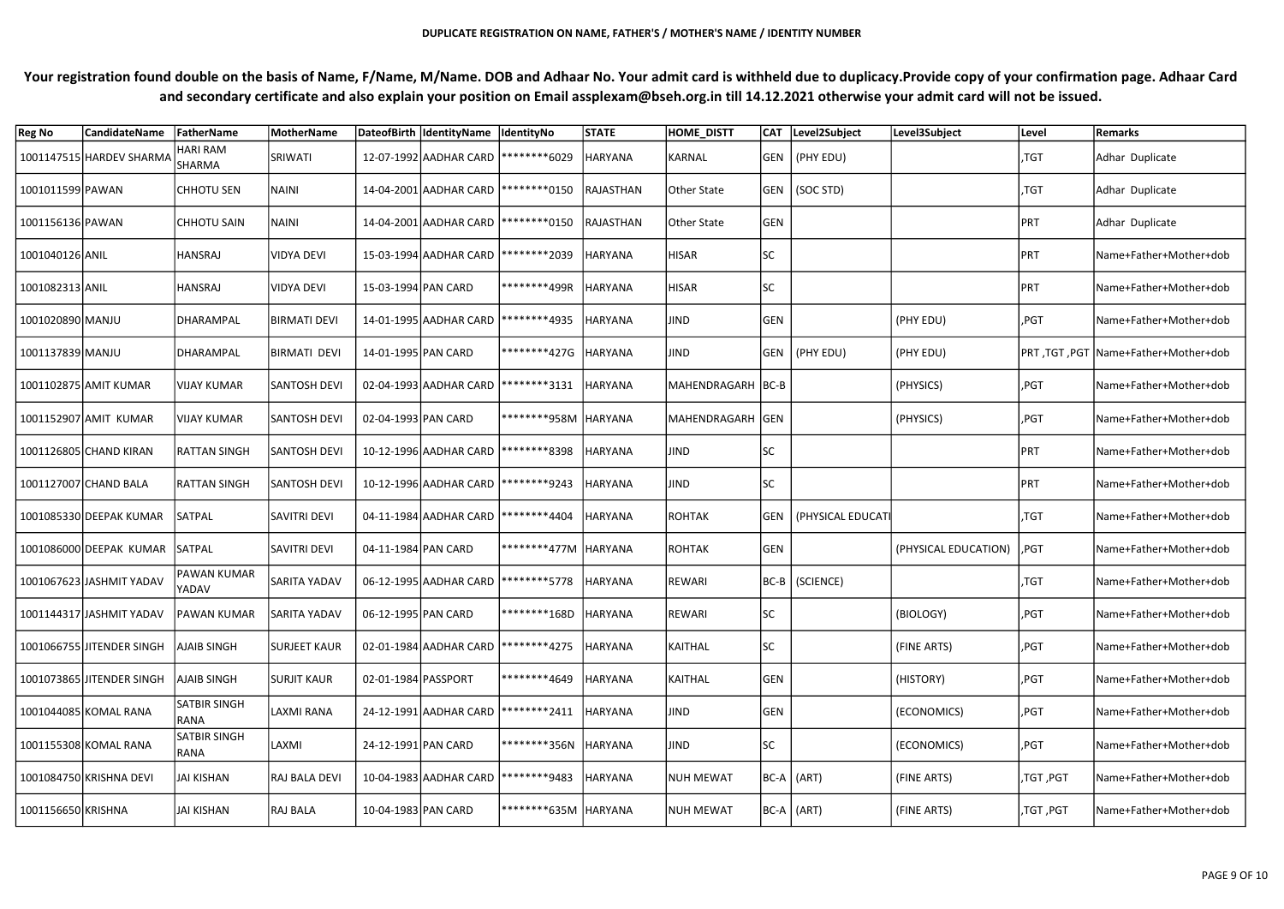| <b>Reg No</b>      | <b>CandidateName</b>      | FatherName                       | MotherName           |                     | DateofBirth  IdentityName  IdentityNo   |                                          | <b>STATE</b>   | <b>HOME_DISTT</b> |            | CAT Level2Subject       | Level3Subject        | Level     | Remarks                                |
|--------------------|---------------------------|----------------------------------|----------------------|---------------------|-----------------------------------------|------------------------------------------|----------------|-------------------|------------|-------------------------|----------------------|-----------|----------------------------------------|
|                    | 1001147515 HARDEV SHARMA  | <b>HARI RAM</b><br><b>SHARMA</b> | SRIWATI              |                     | 12-07-1992 AADHAR CARD   ******** 6029  |                                          | <b>HARYANA</b> | KARNAL            |            | GEN   (PHY EDU)         |                      | ,TGT      | Adhar Duplicate                        |
| 1001011599 PAWAN   |                           | <b>CHHOTU SEN</b>                | <b>NAINI</b>         |                     |                                         | 14-04-2001 AADHAR CARD   ******** * 0150 | RAJASTHAN      | Other State       |            | GEN   (SOC STD)         |                      | ,TGT      | Adhar Duplicate                        |
| 1001156136 PAWAN   |                           | <b>CHHOTU SAIN</b>               | <b>NAINI</b>         |                     | 14-04-2001 AADHAR CARD   ********* 0150 |                                          | RAJASTHAN      | Other State       | GEN        |                         |                      | PRT       | Adhar Duplicate                        |
| 1001040126 ANIL    |                           | HANSRAJ                          | <b>VIDYA DEVI</b>    |                     | 15-03-1994 AADHAR CARD   ******** 2039  |                                          | <b>HARYANA</b> | <b>HISAR</b>      | <b>SC</b>  |                         |                      | PRT       | Name+Father+Mother+dob                 |
| 1001082313 ANIL    |                           | HANSRAJ                          | <b>VIDYA DEVI</b>    | 15-03-1994 PAN CARD |                                         | ********499R                             | HARYANA        | <b>HISAR</b>      | <b>SC</b>  |                         |                      | PRT       | Name+Father+Mother+dob                 |
| 1001020890 MANJU   |                           | DHARAMPAL                        | <b>BIRMATI DEVI</b>  |                     |                                         | 14-01-1995 AADHAR CARD   ******** 4935   | <b>HARYANA</b> | <b>JIND</b>       | GEN        |                         | (PHY EDU)            | ,PGT      | Name+Father+Mother+dob                 |
| 1001137839 MANJU   |                           | DHARAMPAL                        | <b>BIRMATI DEVI</b>  | 14-01-1995 PAN CARD |                                         | *********427G HARYANA                    |                | JIND              |            | GEN   (PHY EDU)         | (PHY EDU)            |           | PRT, TGT, PGT   Name+Father+Mother+dob |
|                    | 1001102875 AMIT KUMAR     | VIJAY KUMAR                      | <b>SANTOSH DEVI</b>  |                     |                                         | 02-04-1993 AADHAR CARD   ********3131    | <b>HARYANA</b> | MAHENDRAGARH BC-B |            |                         | (PHYSICS)            | ,PGT      | Name+Father+Mother+dob                 |
|                    | 1001152907 AMIT KUMAR     | <b>VIJAY KUMAR</b>               | <b>SANTOSH DEVI</b>  | 02-04-1993 PAN CARD |                                         | *********958M HARYANA                    |                | MAHENDRAGARH GEN  |            |                         | (PHYSICS)            | ,PGT      | Name+Father+Mother+dob                 |
|                    | 1001126805 CHAND KIRAN    | RATTAN SINGH                     | <b>SANTOSH DEVI</b>  |                     | 10-12-1996 AADHAR CARD   ********8398   |                                          | <b>HARYANA</b> | <b>JIND</b>       | SC         |                         |                      | PRT       | Name+Father+Mother+dob                 |
|                    | 1001127007 CHAND BALA     | RATTAN SINGH                     | <b>SANTOSH DEVI</b>  |                     | 10-12-1996 AADHAR CARD   ********9243   |                                          | <b>HARYANA</b> | JIND              | SC         |                         |                      | PRT       | Name+Father+Mother+dob                 |
|                    | 1001085330 DEEPAK KUMAR   | <b>SATPAL</b>                    | <b>SAVITRI DEVI</b>  |                     | 04-11-1984 AADHAR CARD   ******** 4404  |                                          | <b>HARYANA</b> | <b>ROHTAK</b>     |            | GEN   (PHYSICAL EDUCATI |                      | ,TGT      | Name+Father+Mother+dob                 |
|                    | 1001086000 DEEPAK KUMAR   | SATPAL                           | <b>SAVITRI DEVI</b>  | 04-11-1984 PAN CARD |                                         | ********477M HARYANA                     |                | <b>ROHTAK</b>     | GEN        |                         | (PHYSICAL EDUCATION) | ,PGT      | Name+Father+Mother+dob                 |
|                    | 1001067623 JASHMIT YADAV  | PAWAN KUMAR<br>YADAV             | <b>SARITA YADAV</b>  |                     |                                         | 06-12-1995 AADHAR CARD   ******** 5778   | <b>HARYANA</b> | REWARI            |            | BC-B   (SCIENCE)        |                      | ,TGT      | Name+Father+Mother+dob                 |
|                    | 1001144317 JASHMIT YADAV  | <b>PAWAN KUMAR</b>               | <b>SARITA YADAV</b>  | 06-12-1995 PAN CARD |                                         | *********168D HARYANA                    |                | REWARI            | SC         |                         | (BIOLOGY)            | ,PGT      | Name+Father+Mother+dob                 |
|                    | 1001066755 JITENDER SINGH | AJAIB SINGH                      | <b>SURJEET KAUR</b>  |                     | 02-01-1984 AADHAR CARD                  | ********4275                             | <b>HARYANA</b> | <b>KAITHAL</b>    | <b>SC</b>  |                         | (FINE ARTS)          | ,PGT      | Name+Father+Mother+dob                 |
|                    | 1001073865 JITENDER SINGH | AJAIB SINGH                      | <b>SURJIT KAUR</b>   | 02-01-1984 PASSPORT |                                         | ********4649                             | <b>HARYANA</b> | KAITHAL           | GEN        |                         | (HISTORY)            | ,PGT      | Name+Father+Mother+dob                 |
|                    | 1001044085 KOMAL RANA     | <b>SATBIR SINGH</b><br>RANA      | LAXMI RANA           |                     | 24-12-1991 AADHAR CARD                  | ********2411                             | <b>HARYANA</b> | JIND              | <b>GEN</b> |                         | (ECONOMICS)          | ,PGT      | Name+Father+Mother+dob                 |
|                    | 1001155308 KOMAL RANA     | SATBIR SINGH<br>RANA             | LAXMI                | 24-12-1991 PAN CARD |                                         | *********356N HARYANA                    |                | JIND              | <b>SC</b>  |                         | (ECONOMICS)          | ,PGT      | Name+Father+Mother+dob                 |
|                    | 1001084750 KRISHNA DEVI   | JAI KISHAN                       | <b>RAJ BALA DEVI</b> |                     | 10-04-1983 AADHAR CARD                  | ********9483                             | <b>HARYANA</b> | <b>NUH MEWAT</b>  |            | BC-A (ART)              | (FINE ARTS)          | ,TGT, PGT | Name+Father+Mother+dob                 |
| 1001156650 KRISHNA |                           | JAI KISHAN                       | <b>RAJ BALA</b>      | 10-04-1983 PAN CARD |                                         | *********635M HARYANA                    |                | <b>NUH MEWAT</b>  |            | BC-A (ART)              | (FINE ARTS)          | ,TGT,PGT  | Name+Father+Mother+dob                 |